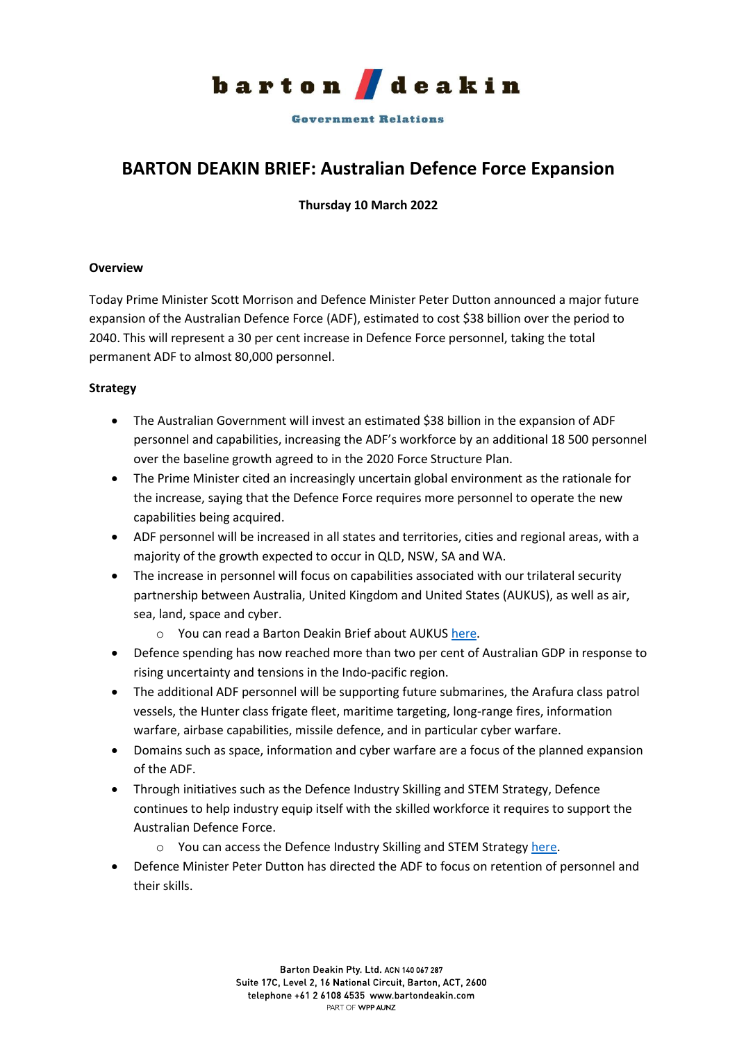

**Government Relations** 

## **BARTON DEAKIN BRIEF: Australian Defence Force Expansion**

**Thursday 10 March 2022**

## **Overview**

Today Prime Minister Scott Morrison and Defence Minister Peter Dutton announced a major future expansion of the Australian Defence Force (ADF), estimated to cost \$38 billion over the period to 2040. This will represent a 30 per cent increase in Defence Force personnel, taking the total permanent ADF to almost 80,000 personnel.

## **Strategy**

- The Australian Government will invest an estimated \$38 billion in the expansion of ADF personnel and capabilities, increasing the ADF's workforce by an additional 18 500 personnel over the baseline growth agreed to in the 2020 Force Structure Plan.
- The Prime Minister cited an increasingly uncertain global environment as the rationale for the increase, saying that the Defence Force requires more personnel to operate the new capabilities being acquired.
- ADF personnel will be increased in all states and territories, cities and regional areas, with a majority of the growth expected to occur in QLD, NSW, SA and WA.
- The increase in personnel will focus on capabilities associated with our trilateral security partnership between Australia, United Kingdom and United States (AUKUS), as well as air, sea, land, space and cyber.
	- o You can read a Barton Deakin Brief about AUKU[S here.](https://bartondeakin.com/briefs/barton-deakin-brief-aukus-nuclear-powered-submarines/)
- Defence spending has now reached more than two per cent of Australian GDP in response to rising uncertainty and tensions in the Indo-pacific region.
- The additional ADF personnel will be supporting future submarines, the Arafura class patrol vessels, the Hunter class frigate fleet, maritime targeting, long-range fires, information warfare, airbase capabilities, missile defence, and in particular cyber warfare.
- Domains such as space, information and cyber warfare are a focus of the planned expansion of the ADF.
- Through initiatives such as the Defence Industry Skilling and STEM Strategy, Defence continues to help industry equip itself with the skilled workforce it requires to support the Australian Defence Force.
	- o You can access the Defence Industry Skilling and STEM Strategy [here.](https://www.defence.gov.au/business-industry/skilling-defence-industry/stem-support)
- Defence Minister Peter Dutton has directed the ADF to focus on retention of personnel and their skills.